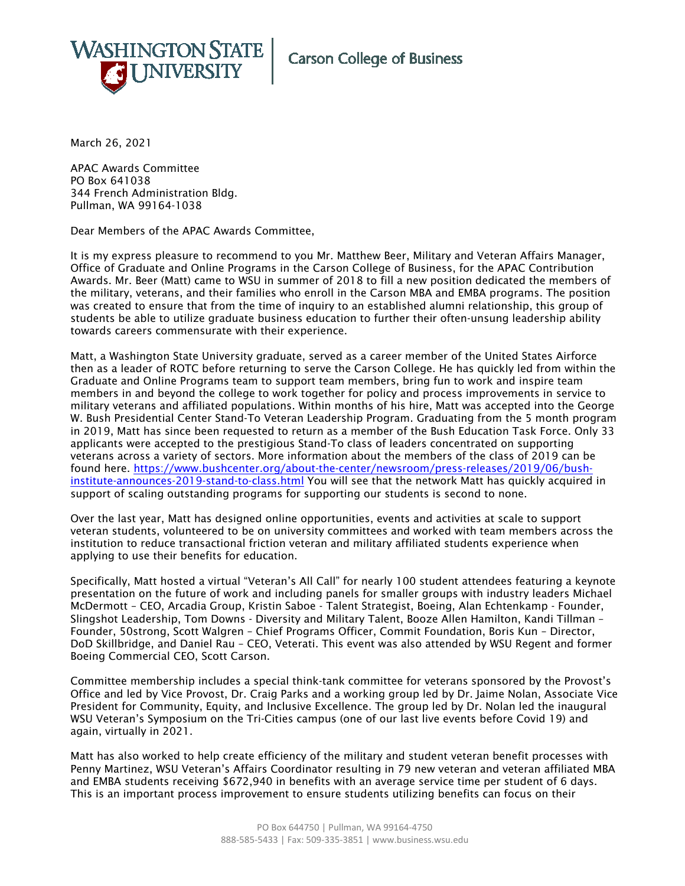

March 26, 2021

APAC Awards Committee PO Box 641038 344 French Administration Bldg. Pullman, WA 99164-1038

Dear Members of the APAC Awards Committee,

It is my express pleasure to recommend to you Mr. Matthew Beer, Military and Veteran Affairs Manager, Office of Graduate and Online Programs in the Carson College of Business, for the APAC Contribution Awards. Mr. Beer (Matt) came to WSU in summer of 2018 to fill a new position dedicated the members of the military, veterans, and their families who enroll in the Carson MBA and EMBA programs. The position was created to ensure that from the time of inquiry to an established alumni relationship, this group of students be able to utilize graduate business education to further their often-unsung leadership ability towards careers commensurate with their experience.

Matt, a Washington State University graduate, served as a career member of the United States Airforce then as a leader of ROTC before returning to serve the Carson College. He has quickly led from within the Graduate and Online Programs team to support team members, bring fun to work and inspire team members in and beyond the college to work together for policy and process improvements in service to military veterans and affiliated populations. Within months of his hire, Matt was accepted into the George W. Bush Presidential Center Stand-To Veteran Leadership Program. Graduating from the 5 month program in 2019, Matt has since been requested to return as a member of the Bush Education Task Force. Only 33 applicants were accepted to the prestigious Stand-To class of leaders concentrated on supporting veterans across a variety of sectors. More information about the members of the class of 2019 can be found here. [https://www.bushcenter.org/about-the-center/newsroom/press-releases/2019/06/bush](https://www.bushcenter.org/about-the-center/newsroom/press-releases/2019/06/bush-institute-announces-2019-stand-to-class.html)[institute-announces-2019-stand-to-class.html](https://www.bushcenter.org/about-the-center/newsroom/press-releases/2019/06/bush-institute-announces-2019-stand-to-class.html) You will see that the network Matt has quickly acquired in support of scaling outstanding programs for supporting our students is second to none.

Over the last year, Matt has designed online opportunities, events and activities at scale to support veteran students, volunteered to be on university committees and worked with team members across the institution to reduce transactional friction veteran and military affiliated students experience when applying to use their benefits for education.

Specifically, Matt hosted a virtual "Veteran's All Call" for nearly 100 student attendees featuring a keynote presentation on the future of work and including panels for smaller groups with industry leaders Michael McDermott – CEO, [Arcadia Group,](http://www.arcadiagroupus.com/) Kristin Saboe - Talent Strategist, [Boeing,](https://www.boeing.com/) Alan Echtenkamp - Founder, [Slingshot Leadership,](https://www.slingshotleadership.com/) Tom Downs - Diversity and Military Talent, [Booze Allen Hamilton,](https://www.boozallen.com/) Kandi Tillman – Founder, [50strong,](https://www.50-strong.us/) Scott Walgren – Chief Programs Officer, [Commit Foundation,](https://www.commitfoundation.org/) Boris Kun – Director, [DoD Skillbridge,](https://dodskillbridge.usalearning.gov/) and Daniel Rau – CEO, [Veterati.](https://www.veterati.com/) This event was also attended by WSU Regent and former Boeing Commercial CEO, Scott Carson.

Committee membership includes a special think-tank committee for veterans sponsored by the Provost's Office and led by Vice Provost, Dr. Craig Parks and a working group led by Dr. Jaime Nolan, Associate Vice President for Community, Equity, and Inclusive Excellence. The group led by Dr. Nolan led the inaugural WSU Veteran's Symposium on the Tri-Cities campus (one of our last live events before Covid 19) and again, virtually in 2021.

Matt has also worked to help create efficiency of the military and student veteran benefit processes with Penny Martinez, WSU Veteran's Affairs Coordinator resulting in 79 new veteran and veteran affiliated MBA and EMBA students receiving \$672,940 in benefits with an average service time per student of 6 days. This is an important process improvement to ensure students utilizing benefits can focus on their